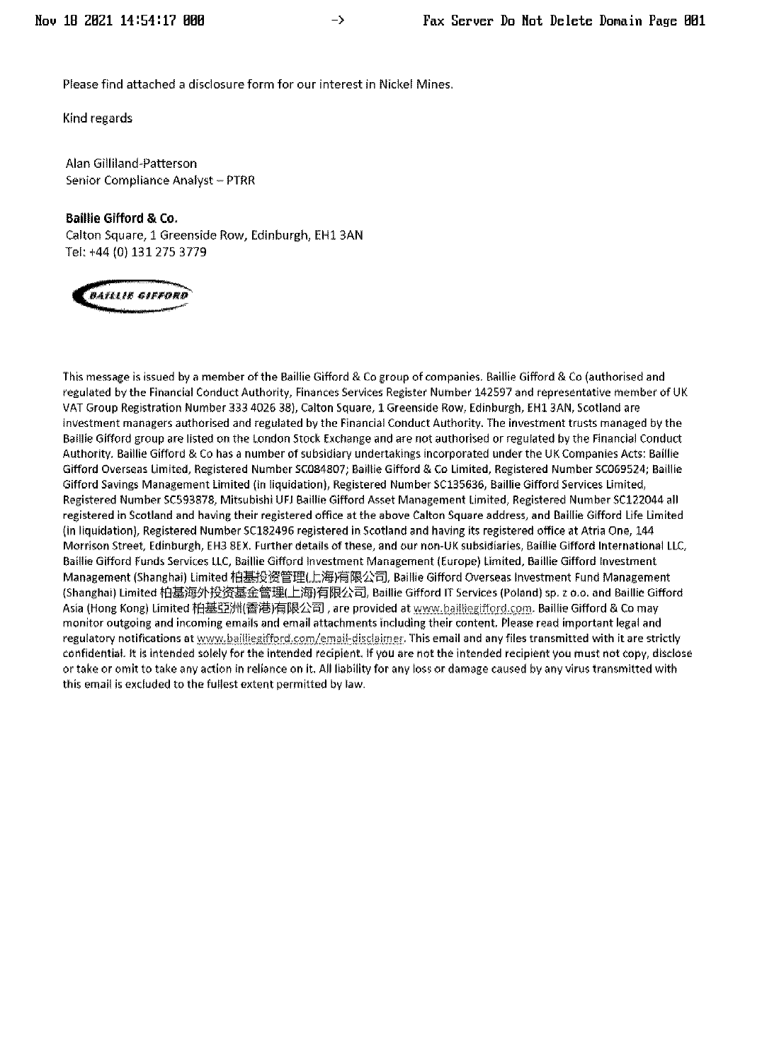Please find attached a disclosure form for our interest in Nickel Mines.

Kind regards

Alan Gilliland-Patterson Senior Compliance Analyst -- PTRR

Baillie Gifford & Co. Calton Square, 1 Greenside Row, Edinburgh, EH1 3AN Tel: +44 (0) 131 275 3779



This message is issued by a member of the Baillie Gifford & Co group of companies. Baillie Gifford & Co (authorised and regulated by the Financial Conduct Authority, Finances Services Register Number 142597 and representative member of UK VAT Group Registration Number 333 4026 38), Calton Square, 1 Greenside Row, Edinburgh, EH1 3AN, Scotland are investment managers authorised and regulated by the Financial Conduct Authority. The investment trusts managed by the Baillie Gifford group are listed on the London Stock Exchange and are not authorised or regulated by the Financial Conduct Authority. Baillie Gifford & Co has a number of subsidiary undertakings incorporated under the UK Companies Acts: Baillie Gifford Overseas Limited, Registered Number SC084807; Baillie Gifford & Co Limited, Registered Number SC069524; Baillie Gifford Savings Management Limited (in liquidation), Registered Number SC135636, Baillie Gifford Services Limited, Registered Number SC593878, Mitsubishi UFJ Baillie Gifford Asset Management Limited, Registered Number SC122044 all registered in Scotland and having their registered office at the above Calton Square address, and Baillie Gifford Life Limited (in liquidation), Registered Number SC182496 registered in Scotland and having its registered office at Atria One, 144 Morrison Street, Edinburgh, EH3 8EX. Further details of these, and our non-UK subsidiaries, Baillie Gifford International LLC, Baillie Gifford Funds Services LLC, Baillie Gifford Investment Management (Europe) Limited, Baillie Gifford Investment Management (Shanghai) Limited 柏基投资管理(上海)有限公司, Baillie Gifford Overseas Investment Fund Management (Shanghai) Limited 柏基海外投资基金管理(上海)有限公司, Baillie Gifford IT Services (Poland) sp. z o.o. and Baillie Gifford Asia (Hong Kong) Limited 柏基亞洲(審港)有限公司 , are provided at www.bailliegifford.com. Baillie Gifford & Co may monitor outgoing and incoming emails and email attachments including their content. Please read important legal and regulatory notifications at www.bailliegifford.com/email-disclaimer. This email and any files transmitted with it are strictly confidential. It is intended solely for the intended recipient. If you are not the intended recipient you must not copy, disclose or take or omit to take any action in reliance on it. All liability for any loss or damage caused by any virus transmitted with this email is excluded to the fullest extent permitted by law.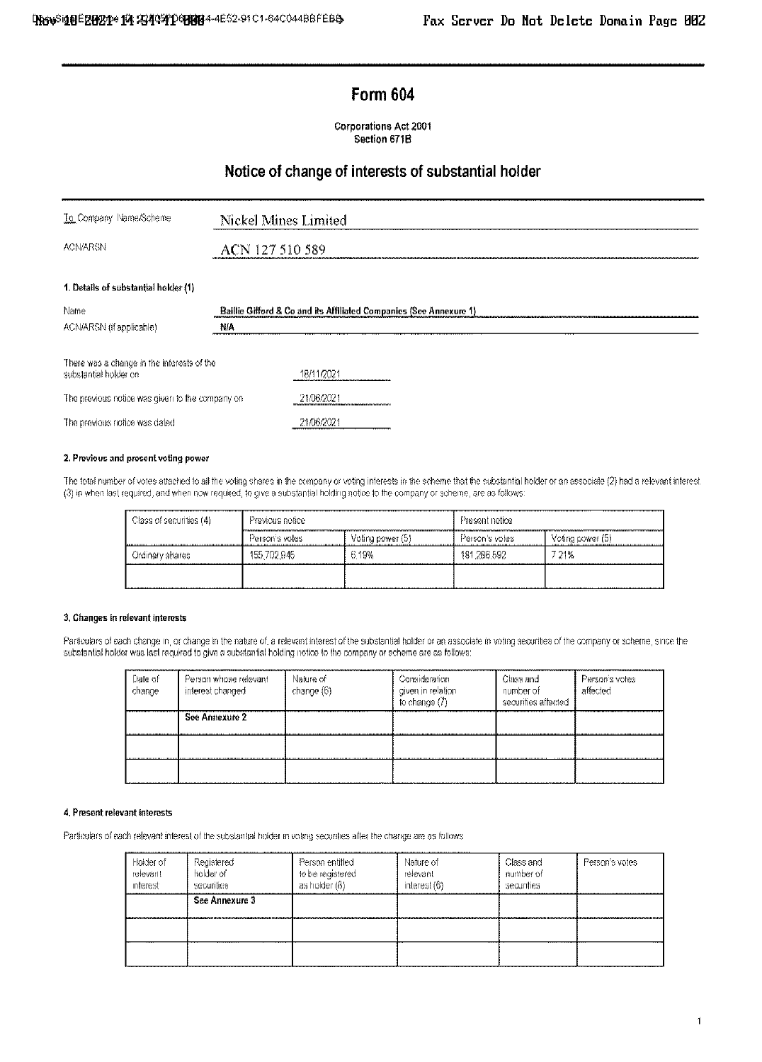## **Form 604**

Corporations Act 2001 Section 671B

## Notice of change of interests of substantial holder

| To Company Name/Scheme                                              | Nickel Mines Limited                                                      |  |  |  |  |  |
|---------------------------------------------------------------------|---------------------------------------------------------------------------|--|--|--|--|--|
| <b>ACN/ARSN</b>                                                     | ACN 127 510 589                                                           |  |  |  |  |  |
| 1. Details of substantial holder (1)                                |                                                                           |  |  |  |  |  |
| Name<br>ACN/ARSN (if applicable)                                    | Baillie Gifford & Co and its Affiliated Companies (See Annexure 1)<br>NIA |  |  |  |  |  |
| There was a change in the inferests of the<br>substantial holder on | 18/11/2021                                                                |  |  |  |  |  |
| The previous notice was given to the company on-                    | 21/06/2021                                                                |  |  |  |  |  |
| The previous notice was dated                                       | 21/06/2021                                                                |  |  |  |  |  |

### 2. Previous and present voting power

The total number of votes attached to all the voting shares in the company or voting interests in the scheme that the substantial holder or an associate (2) had a relevant interest (3) in when last required, and when now required, to give a substantial holding notice to the company or scheme, are as follows:

| - Class of securities (4) | Previous notice |                 | Present notice |                      |  |
|---------------------------|-----------------|-----------------|----------------|----------------------|--|
|                           | Person's voles. | Volma power (5) | Pérson's votes | Votina power (5)<br> |  |
| Ordinary shares           | 155,702,945     | 6.19%           | 181,286,592    | 7 21%                |  |
|                           |                 |                 |                |                      |  |

#### 3. Changes in relevant interests

Particulars of each change in, or change in the nature of, a relevant interest of the substantial holder or an associate in voting securities of the company or scheme, since the substantial holder was last required to give a substantial holding notice to the company or scheme are as follows:

| Date of<br>change | Person whose relevant<br>interest changed | Nature of<br>change (6) | Consideration<br>given in relation<br>to change (7) | Class and<br>number of<br>securities affected | Person's votes<br>affected |
|-------------------|-------------------------------------------|-------------------------|-----------------------------------------------------|-----------------------------------------------|----------------------------|
|                   | See Annexure 2                            |                         |                                                     |                                               |                            |
|                   |                                           |                         |                                                     |                                               |                            |
|                   |                                           |                         |                                                     |                                               |                            |

#### 4. Present relevant interests

Particulars of each relevant interest of the substantial holder in voting securities after the change are as follows.

| Holder of<br>relevant<br>interest | Registered<br>holder of<br>securities | Person entitled<br>to be registered<br>as holder (8) | Nature of<br>relevant<br>interest (6) | Class and<br>number of<br>securities | Person's votes |
|-----------------------------------|---------------------------------------|------------------------------------------------------|---------------------------------------|--------------------------------------|----------------|
|                                   | See Annexure 3                        |                                                      |                                       |                                      |                |
|                                   |                                       |                                                      |                                       |                                      |                |
|                                   | ------                                |                                                      |                                       | ----------------                     |                |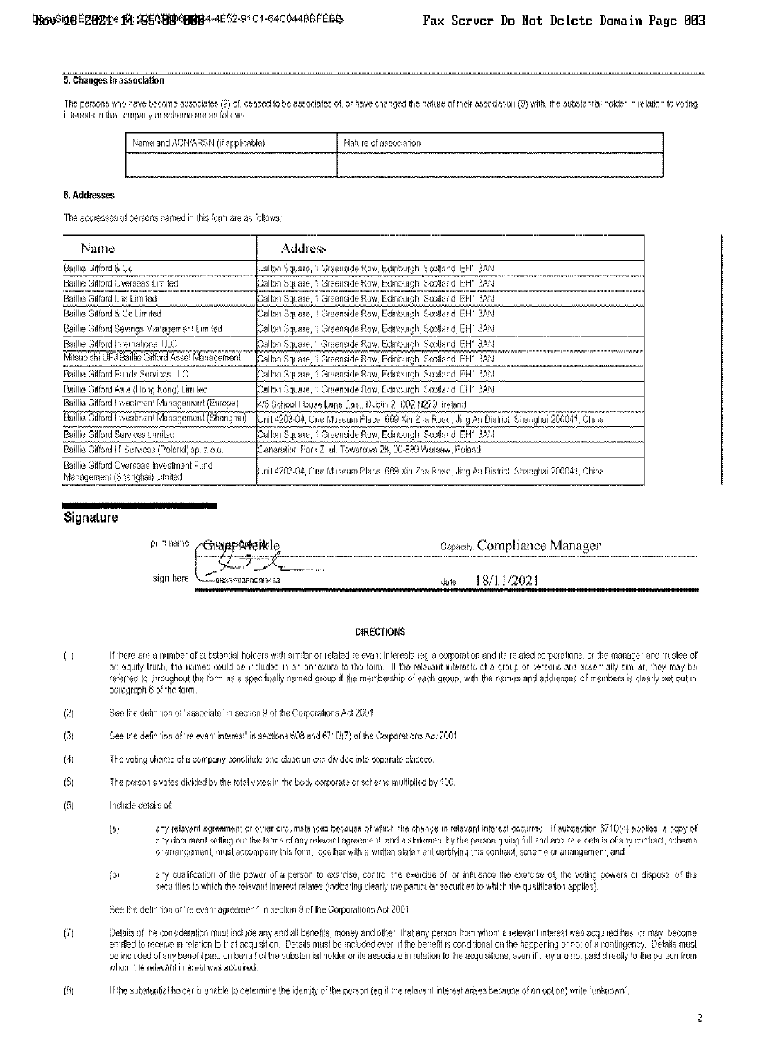#### 5. Changes in association

The persons who have become associates (2) of, ceased to be associates of, or have changed the nature of their association (9) with, the substantial holder in relation to voting interests in the company or scheme are as follows:

| Name and ACN/ARSN (if applicable) | Nature of association<br>1987 - 1987 - 1988 - 1989 - 1989 - 1989 - 1989 - 1989 - 1989 - 1989 - 1989 - 1989 - 1989 - 1989 - 1989 - 1989<br>-------------------<br><b>.</b> |
|-----------------------------------|---------------------------------------------------------------------------------------------------------------------------------------------------------------------------|
|                                   |                                                                                                                                                                           |

#### 6. Addresses

The addresses of persons named in this form are as follows:

| Name                                                                      | Address                                                                                      |
|---------------------------------------------------------------------------|----------------------------------------------------------------------------------------------|
| Baillie Gifford & Co.                                                     | {Calton Square, 1 Greenside Row, Edinburgh, Scotland, EH1 3AN                                |
| Baillie Gifford Overseas Limited                                          | Calton Square, 1 Greenside Row, Edinburgh, Scotland, EH1 3AN                                 |
| Baillie Gifford Life Limited                                              | ∮Calton Square, 1 Greenside Row, Edinburgh, Scotland, EM1 3AN                                |
| Baillie Gifford & Co Limited                                              | <b>İ</b> Calton Square, 1 Greenside Row, Edinburgh, Scotland, EH1 3AN.                       |
| Baillie Gifford Savings Management Limited                                | ]Calton Square, 1 Greenside Row, Edinburgh, Scotland, EH1 3AN.                               |
| Baillie Gifford International LLC                                         | Calton Square, 1 Greenside Row, Edinburgh, Scotland, EH1 3AN                                 |
| Mitsubishi UFJ Baillie Gifford Asset Management                           | [Calton Square, 1 Greenside Row, Edinburgh, Scotland, EH1 3AN                                |
| Baillie Gifford Funds Services LLC                                        | {Calton Square, 1 Greenside Row, Edinburgh, Scotland, EH1 3AN                                |
| Baillie Gifford Asia (Hong Kong) Limited                                  | Calton Square, 1 Greenside Row, Edinburgh, Scotland, EH1 3AN                                 |
| Baillie Gifford Investment Management (Europe)                            | [4/5 School House Lane East, Dublin 2, D02 N279, Ireland.                                    |
| Baillie Gifford Investment Management (Shanghai)                          | ใ∪nit 4203-04, One Museum Place, 669 Xin Zha Road, Jing An District. Shanghai 200041, China  |
| Baillie Gifford Services Limited                                          | {Calton Square, 1 Greenside Row, Edinburgh, Scotland, EH1 3AN                                |
| Baillie Gifford IT Services (Poland) sp. z o.o.                           | Generation Park Z, ul. Towarowa 28, 00-839 Warsaw, Poland                                    |
| Baillie Gifford Overseas Investment Fund<br>Management (Shanghai) Limited | ‡Unit 4203-04, One Museum Place, 669 Xin Zha Road. Jing An District, Shanghai 200041, China. |

## Signature



#### **DIRECTIONS**

- If there are a number of substantial holders with similar or related relevant interests (eg a corporation and its related corporations, or the manager and trustee of  $(1)$ an equity trust), the names could be included in an annexure to the form. If the relevant interests of a group of persons are essentially similar, they may be referred to throughout the form as a specifically named group if the membership of each group, with the names and addresses of members is clearly set out in paragraph 6 of the form.
- $(2)$ See the definition of "associate" in section 9 of the Corporations Act 2001.
- See the definition of "relevant interest" in sections 608 and 671B(7) of the Corporations Act 2001  $(3)$
- $(4)$ The voting shares of a company constitute one class unless divided into separate classes.
- $(5)$ The person's votes divided by the total votes in the body corporate or scheme multiplied by 100.
- $(6)$ Include details of:
	- any relevant agreement or other circumstances because of which the change in relevant interest occurred. If subsection 6718(4) applies, a copy of  $\{e\}$ any document setting out the terms of any relevant agreement, and a statement by the person giving full and accurate details of any contract, scheme or arrangement, must accompany this form, together with a written statement certifying this contract, scheme or arrangement, and
	- $\langle b \rangle$ any qualification of the power of a person to exercise, control the exercise of, or influence the exercise of, the voting powers or disposal of the securities to which the relevant interest relates (indicating clearly the particular securities to which the qualification applies).

See the definition of "relevant agreement" in section 9 of the Corporations Act 2001

- $(7)$ Details of the consideration must include any and all benefits, money and other, that any person from whom a relevant interest was acquired has, or may, become entified to receive in relation to that acquisition. Details must be included even if the benefit is conditional on the happening or not of a contingency. Details must be included of any benefit paid on behalf of the substantial holder or its associate in relation to the acquisitions, even if they are not paid directly to the person from whom the relevant interest was acquired.
- $(8)$ If the substantial holder is unable to determine the identity of the person (eg if the relevant interest arises because of an option) write "unknown".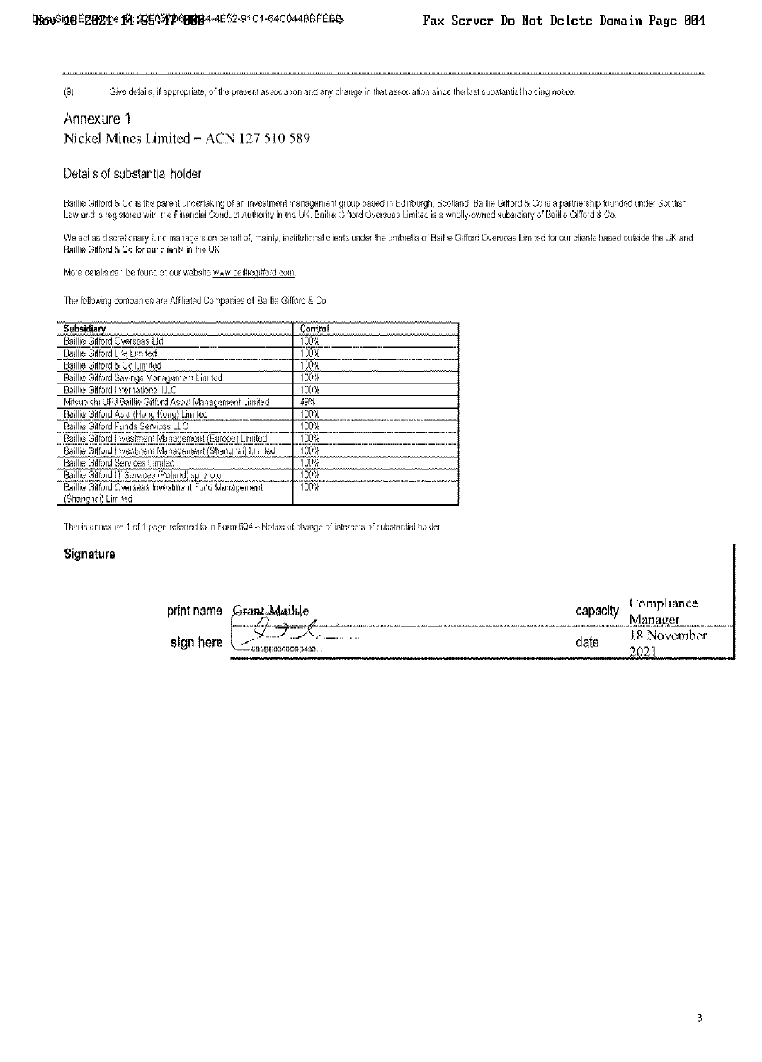$(9)$ Give defails, if appropriate, of the present association and any change in that association since the last substantial holding notice.

## Annexure 1 Nickel Mines Limited - ACN 127 510 589

#### Details of substantial holder

Baillie Gifford & Co is the parent undertaking of an investment management group based in Edinburgh, Scotland. Baillie Gifford & Co is a partnership founded under Scottish<br>Law and is registered with the Financial Conduct A

We act as discretionary fund managers on behalf of, mainly, institutional clients under the umbrella of Baillie Gifford Overseas Limited for our clients based outside the UK and Baillie Gifford & Co for our clients in the UK.

More details can be found at our website www.ballheqifford.com.

The following companies are Affiliated Companies of Baillie Gifford & Co.

| Subsidiary                                               | Control |
|----------------------------------------------------------|---------|
| Baillie Gifford Overseas Ltd                             | 100%    |
| Baillie Gifford Life Limited                             | 100%    |
| Baillie Gifford & Co Limited                             | 100%    |
| Baillie Gifford Savings Management Limited               | 100%    |
| <b>Baillie Gifford International LLC</b>                 | 100%    |
| Mitsubishi UFJ Baillie Cifford Asset Management Limited  | 49%     |
| Baillie Gifford Asia (Hong Kong) Limited                 | 100%    |
| Baillie Gifford Funds Services LLC                       | 100%    |
| Baillie Gifford Investment Management (Europe) Limited   | 100%    |
| Baillie Gifford Investment Management (Shanghai) Limited | 100%    |
| Baillie Gifford Services Limited                         | 100%    |
| Baillie Gifford IT Services (Poland) sp. 2 o.o.          | 100%    |
| Baillie Gifford Overseas Investment Fund Management      | 100%    |
| (Shanghai) Limited                                       |         |

This is annexure 1 of 1 page referred to in Form 604 - Notice of change of interests of substantial holder

## Signature

| orint-<br>name | SES OCT.<br>ΉЫ€                   | canor" | :omphance-                   |
|----------------|-----------------------------------|--------|------------------------------|
|                | Mehdelelelede                     |        | Matalana Matalana kata ta ta |
| sign<br>here   | ∽<br><b>CONTRACTOR</b><br>        | date   | 18 November                  |
|                | - 683850360090433,,,<br>-----<br> |        | دىرى<br><br>                 |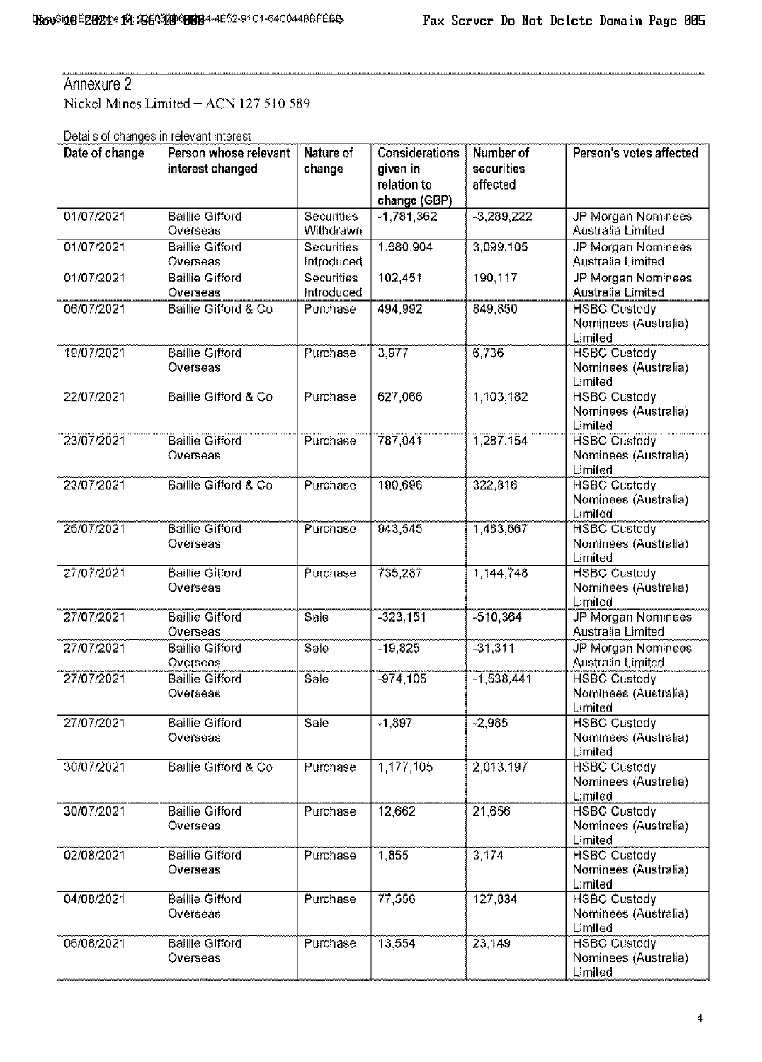## Annexure 2

Nickel Mines Limited - ACN 127 510 589

Details of changes in relevant interest

| Date of change | Person whose relevant<br>interest changed | Nature of<br>change      | <b>Considerations</b><br>given in<br>relation to<br>change (GBP) | Number of<br>securities<br>affected | Person's votes affected                                |
|----------------|-------------------------------------------|--------------------------|------------------------------------------------------------------|-------------------------------------|--------------------------------------------------------|
| 01/07/2021     | <b>Baillie Gifford</b><br>Overseas        | Securities<br>Withdrawn  | $-1,781,362$                                                     | $-3,289,222$                        | JP Morgan Nominees<br>Australia Limited                |
| 01/07/2021     | <b>Baillie Gifford</b><br>Overseas        | Securities<br>Introduced | 1,680,904                                                        | 3,099,105                           | JP Morgan Nominees<br>Australia Limited                |
| 01/07/2021     | <b>Baillie Gifford</b><br>Overseas        | Securities<br>Introduced | 102,451                                                          | 190,117                             | JP Morgan Nominees<br>Australia Limited                |
| 06/07/2021     | <b>Baillie Gifford &amp; Co</b>           | Purchase                 | 494,992                                                          | 849,850                             | <b>HSBC Custody</b><br>Nominees (Australia)<br>Limited |
| 19/07/2021     | <b>Baillie Gifford</b><br>Overseas        | Purchase                 | 3,977                                                            | 6,736                               | <b>HSBC Custody</b><br>Nominees (Australia)<br>Limited |
| 22/07/2021     | Baillie Gifford & Co                      | Purchase                 | 627,066                                                          | 1,103,182                           | <b>HSBC Custody</b><br>Nominees (Australia)<br>Limited |
| 23/07/2021     | <b>Baillie Gifford</b><br>Overseas        | Purchase                 | 787,041                                                          | 1,287,154                           | <b>HSBC Custody</b><br>Nominees (Australia)<br>Limited |
| 23/07/2021     | <b>Baillie Gifford &amp; Co</b>           | Purchase                 | 190,696                                                          | 322,816                             | <b>HSBC Custody</b><br>Nominees (Australia)<br>Limited |
| 26/07/2021     | <b>Baillie Gifford</b><br>Overseas        | Purchase                 | 943,545                                                          | 1,483,667                           | <b>HSBC Custody</b><br>Nominees (Australia)<br>Limited |
| 27/07/2021     | <b>Baillie Gifford</b><br>Overseas        | Purchase                 | 735,287                                                          | 1,144,748                           | <b>HSBC Custody</b><br>Nominees (Australia)<br>Limited |
| 27/07/2021     | <b>Baillie Gifford</b><br>Overseas        | Sale                     | $-323,151$                                                       | $-510,364$                          | <b>JP Morgan Nominees</b><br>Australia Limited         |
| 27/07/2021     | <b>Baillie Gifford</b><br>Overseas        | Sale                     | $-19,825$                                                        | $-31,311$                           | <b>JP Morgan Nominees</b><br>Australia Limited         |
| 27/07/2021     | <b>Baillie Gifford</b><br>Overseas        | Sale                     | $-974, 105$                                                      | $-1,538,441$                        | <b>HSBC Custody</b><br>Nominees (Australia)<br>Limited |
| 27/07/2021     | <b>Baillie Gifford</b><br>Overseas        | Sale                     | $-1,897$                                                         | $-2,985$                            | <b>HSBC Custody</b><br>Nominees (Australia)<br>Limited |
| 30/07/2021     | Baillie Gifford & Co.                     | Purchase                 | 1,177,105                                                        | 2,013,197                           | <b>HSBC Custody</b><br>Nominees (Australia)<br>Limited |
| 30/07/2021     | <b>Baillie Gifford</b><br>Overseas        | Purchase                 | 12.662                                                           | 21,656                              | <b>HSBC Custody</b><br>Nominees (Australia)<br>Limited |
| 02/08/2021     | <b>Baillie Gifford</b><br>Overseas        | Purchase                 | 1,855                                                            | 3,174                               | <b>HSBC Custody</b><br>Nominees (Australia)<br>Limited |
| 04/08/2021     | <b>Baillie Gifford</b><br>Overseas        | Purchase                 | 77,556                                                           | 127,834                             | <b>HSBC Custody</b><br>Nominees (Australia)<br>Limited |
| 06/08/2021     | <b>Baillie Gifford</b><br>Overseas        | Purchase                 | 13,554                                                           | 23,149                              | <b>HSBC Custody</b><br>Nominees (Australia)<br>Limited |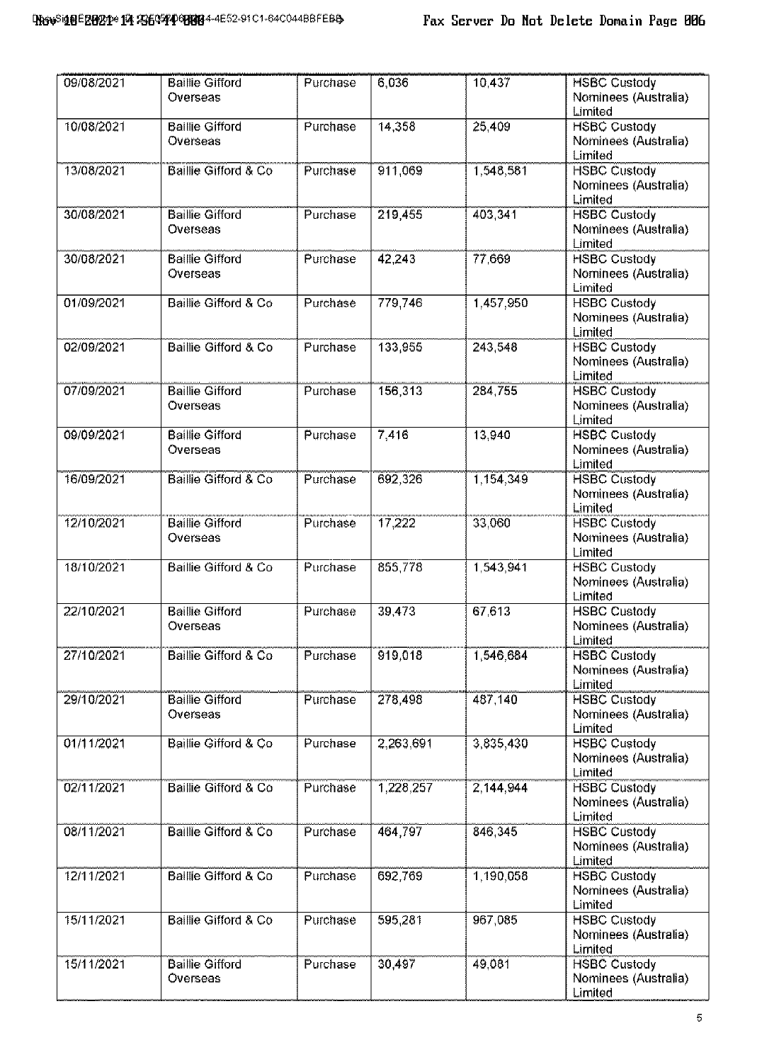| 09/08/2021 | <b>Baillie Gifford</b>          | Purchase | 6,036     | 10,437    | <b>HSBC Custody</b>                         |
|------------|---------------------------------|----------|-----------|-----------|---------------------------------------------|
|            | Overseas                        |          |           |           | Nominees (Australia)                        |
|            |                                 |          |           |           | Limited                                     |
| 10/08/2021 | <b>Baillie Gifford</b>          | Purchase | 14.358    | 25,409    | <b>HSBC Custody</b>                         |
|            | Overseas                        |          |           |           | Nominees (Australia)                        |
|            |                                 |          |           |           | Limited                                     |
| 13/08/2021 | Baillie Gifford & Co.           | Purchase | 911,069   | 1,548,581 | <b>HSBC Custody</b>                         |
|            |                                 |          |           |           | Nominees (Australia)                        |
|            |                                 |          |           |           | Limited                                     |
| 30/08/2021 | <b>Baillie Gifford</b>          | Purchase | 219,455   | 403,341   |                                             |
|            |                                 |          |           |           | <b>HSBC Custody</b><br>Nominees (Australia) |
|            | Overseas                        |          |           |           | Limited                                     |
|            |                                 |          |           |           |                                             |
| 30/08/2021 | <b>Baillie Gifford</b>          | Purchase | 42 24 3   | 77,669    | <b>HSBC Custody</b>                         |
|            | Overseas                        |          |           |           | Nominees (Australia)                        |
|            |                                 |          |           |           | Limited                                     |
| 01/09/2021 | Baillie Gifford & Co.           | Purchase | 779,746   | 1,457,950 | <b>HSBC Custody</b>                         |
|            |                                 |          |           |           | Nominees (Australia)                        |
|            |                                 |          |           |           | Limited                                     |
| 02/09/2021 | Baillie Gifford & Co.           | Purchase | 133,955   | 243,548   | <b>HSBC Custody</b>                         |
|            |                                 |          |           |           | Nominees (Australia)                        |
|            |                                 |          |           |           | Limited                                     |
| 07/09/2021 | <b>Baillie Gifford</b>          | Purchase | 156,313   | 284,755   | <b>HSBC Custody</b>                         |
|            | Overseas                        |          |           |           | Nominees (Australia)                        |
|            |                                 |          |           |           | Limited                                     |
| 09/09/2021 | <b>Baillie Gifford</b>          | Purchase | 7,416     | 13,940    | <b>HSBC Custody</b>                         |
|            | Overseas                        |          |           |           | Nominees (Australia)                        |
|            |                                 |          |           |           | Limited                                     |
| 16/09/2021 | <b>Baillie Gifford &amp; Co</b> | Purchase | 692,326   | 1,154,349 | <b>HSBC Custody</b>                         |
|            |                                 |          |           |           | Nominees (Australia)                        |
|            |                                 |          |           |           | Limited                                     |
| 12/10/2021 | <b>Baillie Gifford</b>          | Purchase | 17,222    | 33,060    | <b>HSBC Custody</b>                         |
|            | Overseas                        |          |           |           | Nominees (Australia)                        |
|            |                                 |          |           |           | Limited                                     |
| 18/10/2021 | Baillie Gifford & Co            | Purchase | 855,778   | 1,543,941 | <b>HSBC Custody</b>                         |
|            |                                 |          |           |           | Nominees (Australia)                        |
|            |                                 |          |           |           | Limited                                     |
| 22/10/2021 | <b>Baillie Gifford</b>          | Purchase | 39 4 7 3  | 67.613    | <b>HSBC Custody</b>                         |
|            | Overseas                        |          |           |           | Nominees (Australia)                        |
|            |                                 |          |           |           | Limited                                     |
| 27/10/2021 | Baillie Gifford & Co.           | Purchase | 919,018   | 1,546,684 | <b>HSBC Custody</b>                         |
|            |                                 |          |           |           | Nominees (Australia)                        |
|            |                                 |          |           |           | Limited                                     |
| 29/10/2021 | <b>Baillie Gifford</b>          | Purchase | 278,498   | 487,140   | <b>HSBC Custody</b>                         |
|            | Overseas                        |          |           |           | Nominees (Australia)                        |
|            |                                 |          |           |           | Limited                                     |
| 01/11/2021 | Baillie Gifford & Co.           | Purchase | 2,263,691 | 3,835,430 | <b>HSBC Custody</b>                         |
|            |                                 |          |           |           | Nominees (Australia)                        |
|            |                                 |          |           |           | Limited                                     |
| 02/11/2021 | Baillie Gifford & Co            | Purchase | 1,228,257 | 2,144,944 | <b>HSBC Custody</b>                         |
|            |                                 |          |           |           | Nominees (Australia)                        |
|            |                                 |          |           |           | Limited                                     |
| 08/11/2021 | Baillie Gifford & Co            | Purchase | 464,797   | 846,345   | <b>HSBC Custody</b>                         |
|            |                                 |          |           |           | Nominees (Australia)                        |
|            |                                 |          |           |           | Limited                                     |
| 12/11/2021 | Baillie Gifford & Co.           | Purchase | 692.769   | 1,190,058 | <b>HSBC Custody</b>                         |
|            |                                 |          |           |           | Nominees (Australia)                        |
|            |                                 |          |           |           | Limited                                     |
| 15/11/2021 | Baillie Gifford & Co            | Purchase | 595,281   | 967,085   | <b>HSBC Custody</b>                         |
|            |                                 |          |           |           | Nominees (Australia)                        |
|            |                                 |          |           |           | Limited                                     |
| 15/11/2021 | <b>Baillie Gifford</b>          | Purchase | 30,497    | 49,081    | <b>HSBC Custody</b>                         |
|            | Overseas                        |          |           |           | Nominees (Australia)                        |
|            |                                 |          |           |           | Limited                                     |
|            |                                 |          |           |           |                                             |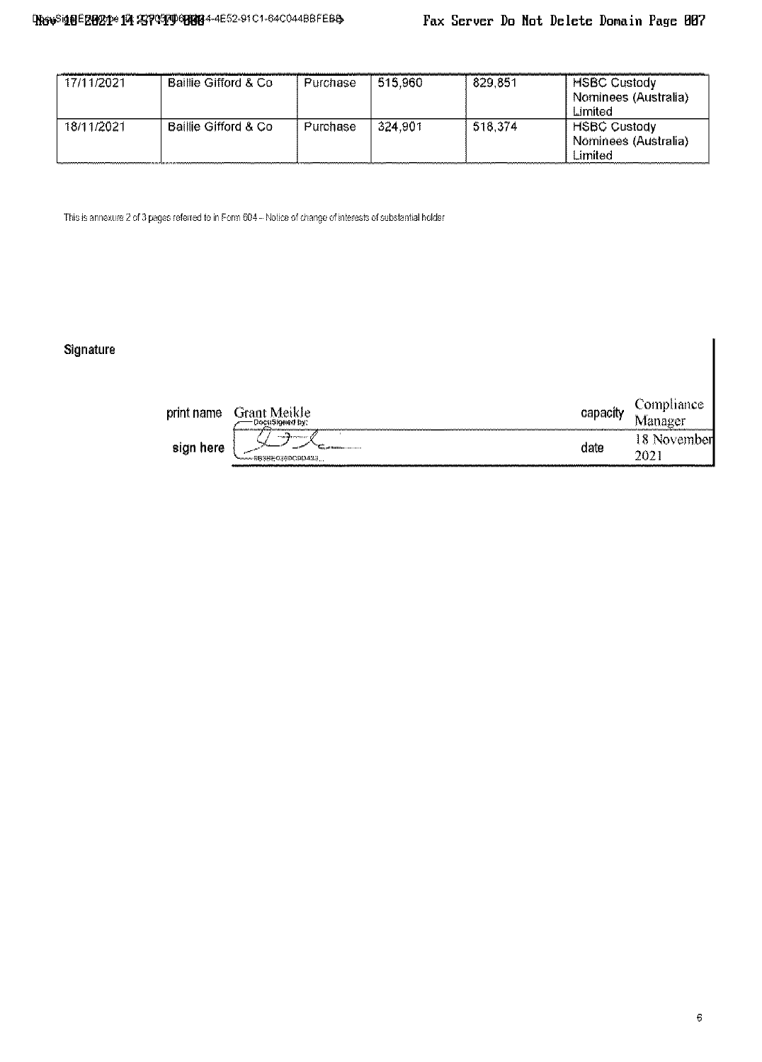| 17/11/2021 | Baillie Gifford & Co  | Purchase | 515.960 | 829.851 | HSBC Custody<br>Nominees (Australia)<br>Limited |
|------------|-----------------------|----------|---------|---------|-------------------------------------------------|
| 18/11/2021 | Baillie Gifford & Co. | Purchase | 324.901 | 518,374 | HSBC Custody<br>Nominees (Australia)<br>Limited |

This is annexure 2 of 3 pages referred to in Form 604 -- Notice of change of interests of substantial holder

## Signature

| print name | Grant Meikle<br>capacity<br>: DocuSigned by<br><b>Government consumers</b> | Compliance      |
|------------|----------------------------------------------------------------------------|-----------------|
| sign here  | *********<br>date<br>883BE030DC9D433                                       | 18 November<br> |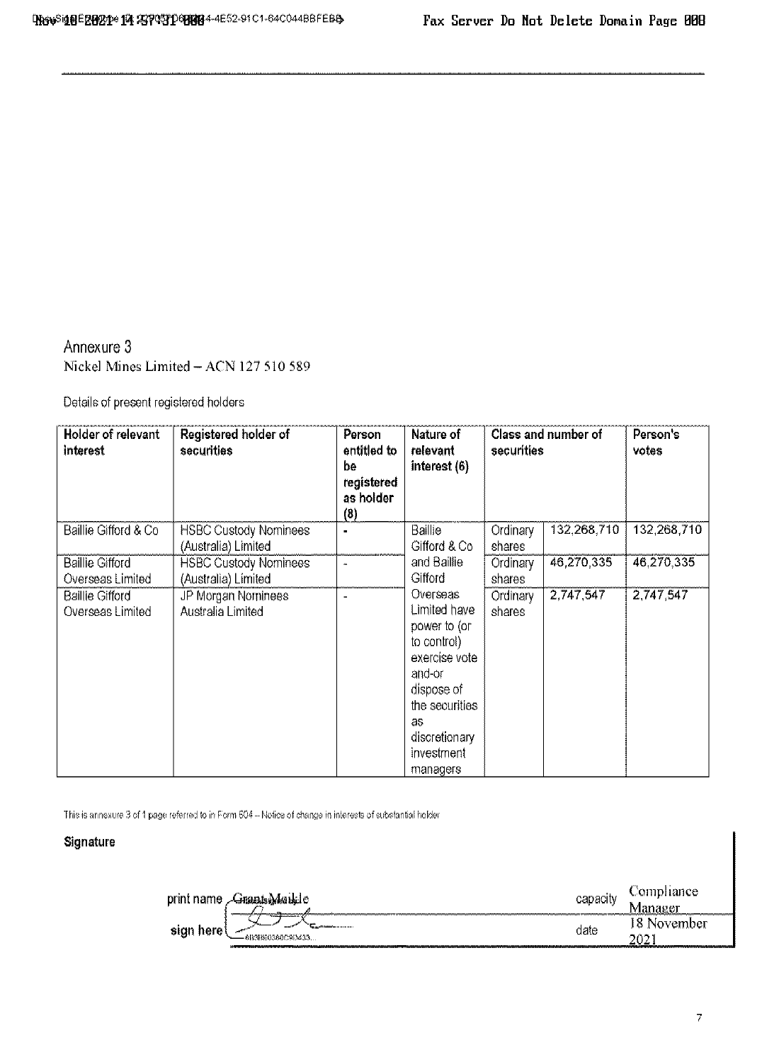## Annexure 3 Nickel Mines Limited - ACN 127 510 589

Details of present registered holders

| Holder of relevant<br><b>Interest</b>      | Registered holder of<br>securities                  | Person<br>entitled to<br>be.<br>registered<br>as holder<br>(8) | Nature of<br>relevant<br>interest (6)                                                                                                                               | securities         | Class and number of | Person's<br>votes |
|--------------------------------------------|-----------------------------------------------------|----------------------------------------------------------------|---------------------------------------------------------------------------------------------------------------------------------------------------------------------|--------------------|---------------------|-------------------|
| Baillie Gifford & Co                       | <b>HSBC Custody Nominees</b><br>(Australia) Limited | ٠                                                              | Baillie<br>Gifford & Co                                                                                                                                             | Ordinary<br>shares | 132,268,710         | 132,268,710       |
| <b>Baillie Gifford</b><br>Overseas Limited | <b>HSBC Custody Nominees</b><br>(Australia) Limited | à.                                                             | and Baillie<br>Gifford                                                                                                                                              | Ordinary<br>shares | 46,270,335          | 46,270,335        |
| Baillie Gifford<br>Overseas Limited        | JP Morgan Nominees<br>Australia Limited             |                                                                | Overseas<br>Limited have<br>power to (or<br>to control)<br>exercise vote<br>and-or<br>dispose of<br>the securities<br>as<br>discretionary<br>investment<br>managers | Ordinary<br>shares | 2,747,547           | 2,747,547         |

This is annexure 3 of 1 page referred to in Form 604 - Notice of change in interests of substantial holder

## Signature

| aame<br>nrıı<br>. <del>.</del><br>and the common of the common of the common of the common of the common of the common of the common of the common of the common of the common of the common of the common of the common of the common of the common of the comm<br>--- |      | чапсе -    |
|-------------------------------------------------------------------------------------------------------------------------------------------------------------------------------------------------------------------------------------------------------------------------|------|------------|
|                                                                                                                                                                                                                                                                         |      |            |
| <b><i>Chambion comme comment</i></b><br>--<br>rere                                                                                                                                                                                                                      | date | ber        |
| - 27<br>6B3BE0360C9D433<br>-----------------                                                                                                                                                                                                                            |      | ---------- |